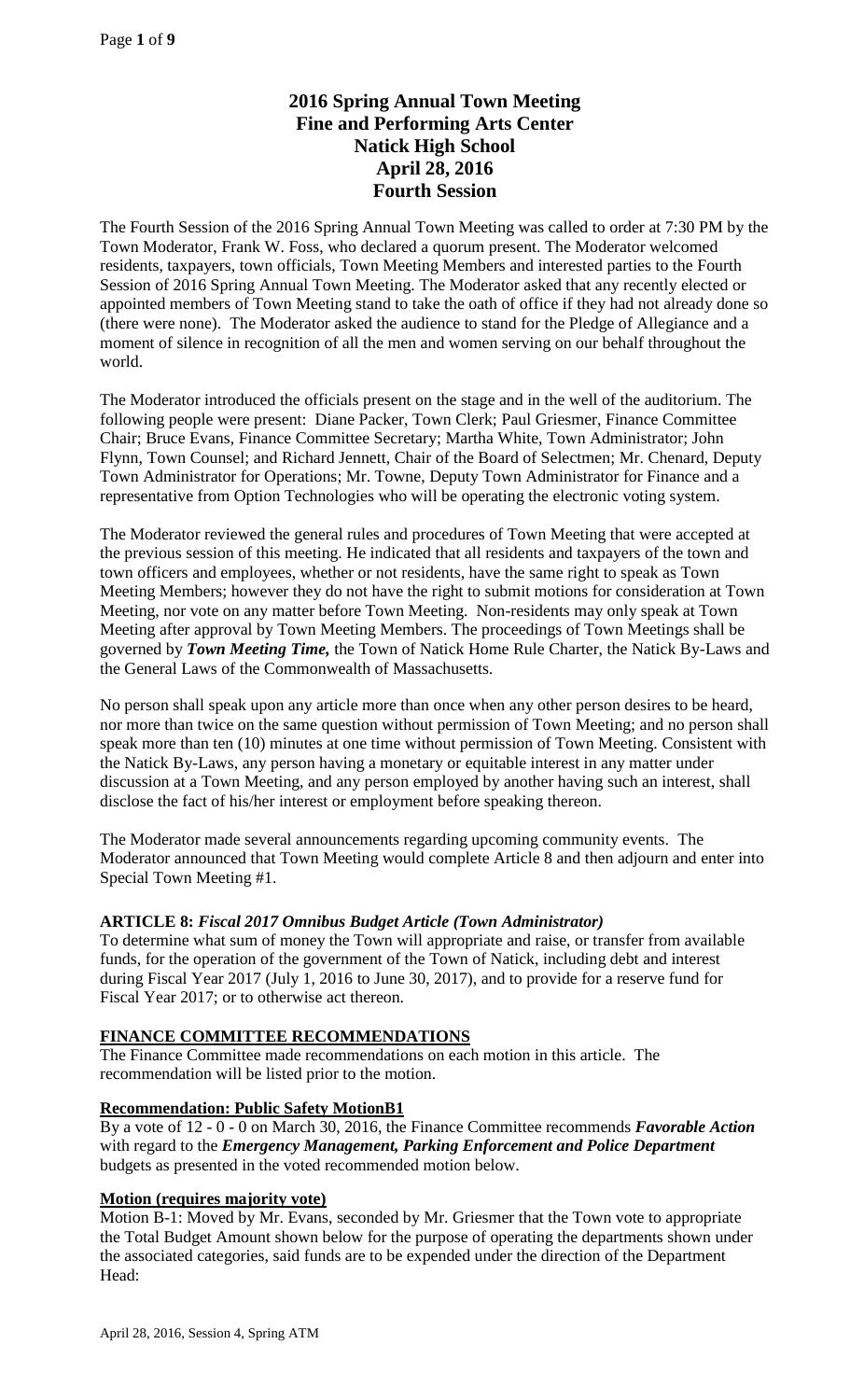# **2016 Spring Annual Town Meeting Fine and Performing Arts Center Natick High School April 28, 2016 Fourth Session**

The Fourth Session of the 2016 Spring Annual Town Meeting was called to order at 7:30 PM by the Town Moderator, Frank W. Foss, who declared a quorum present. The Moderator welcomed residents, taxpayers, town officials, Town Meeting Members and interested parties to the Fourth Session of 2016 Spring Annual Town Meeting. The Moderator asked that any recently elected or appointed members of Town Meeting stand to take the oath of office if they had not already done so (there were none). The Moderator asked the audience to stand for the Pledge of Allegiance and a moment of silence in recognition of all the men and women serving on our behalf throughout the world.

The Moderator introduced the officials present on the stage and in the well of the auditorium. The following people were present: Diane Packer, Town Clerk; Paul Griesmer, Finance Committee Chair; Bruce Evans, Finance Committee Secretary; Martha White, Town Administrator; John Flynn, Town Counsel; and Richard Jennett, Chair of the Board of Selectmen; Mr. Chenard, Deputy Town Administrator for Operations; Mr. Towne, Deputy Town Administrator for Finance and a representative from Option Technologies who will be operating the electronic voting system.

The Moderator reviewed the general rules and procedures of Town Meeting that were accepted at the previous session of this meeting. He indicated that all residents and taxpayers of the town and town officers and employees, whether or not residents, have the same right to speak as Town Meeting Members; however they do not have the right to submit motions for consideration at Town Meeting, nor vote on any matter before Town Meeting. Non-residents may only speak at Town Meeting after approval by Town Meeting Members. The proceedings of Town Meetings shall be governed by *Town Meeting Time,* the Town of Natick Home Rule Charter, the Natick By-Laws and the General Laws of the Commonwealth of Massachusetts.

No person shall speak upon any article more than once when any other person desires to be heard, nor more than twice on the same question without permission of Town Meeting; and no person shall speak more than ten (10) minutes at one time without permission of Town Meeting. Consistent with the Natick By-Laws, any person having a monetary or equitable interest in any matter under discussion at a Town Meeting, and any person employed by another having such an interest, shall disclose the fact of his/her interest or employment before speaking thereon.

The Moderator made several announcements regarding upcoming community events. The Moderator announced that Town Meeting would complete Article 8 and then adjourn and enter into Special Town Meeting #1.

# **ARTICLE 8:** *Fiscal 2017 Omnibus Budget Article (Town Administrator)*

To determine what sum of money the Town will appropriate and raise, or transfer from available funds, for the operation of the government of the Town of Natick, including debt and interest during Fiscal Year 2017 (July 1, 2016 to June 30, 2017), and to provide for a reserve fund for Fiscal Year 2017; or to otherwise act thereon.

### **FINANCE COMMITTEE RECOMMENDATIONS**

The Finance Committee made recommendations on each motion in this article. The recommendation will be listed prior to the motion.

### **Recommendation: Public Safety MotionB1**

By a vote of 12 - 0 - 0 on March 30, 2016, the Finance Committee recommends *Favorable Action*  with regard to the *Emergency Management, Parking Enforcement and Police Department*  budgets as presented in the voted recommended motion below.

### **Motion (requires majority vote)**

Motion B-1: Moved by Mr. Evans, seconded by Mr. Griesmer that the Town vote to appropriate the Total Budget Amount shown below for the purpose of operating the departments shown under the associated categories, said funds are to be expended under the direction of the Department Head: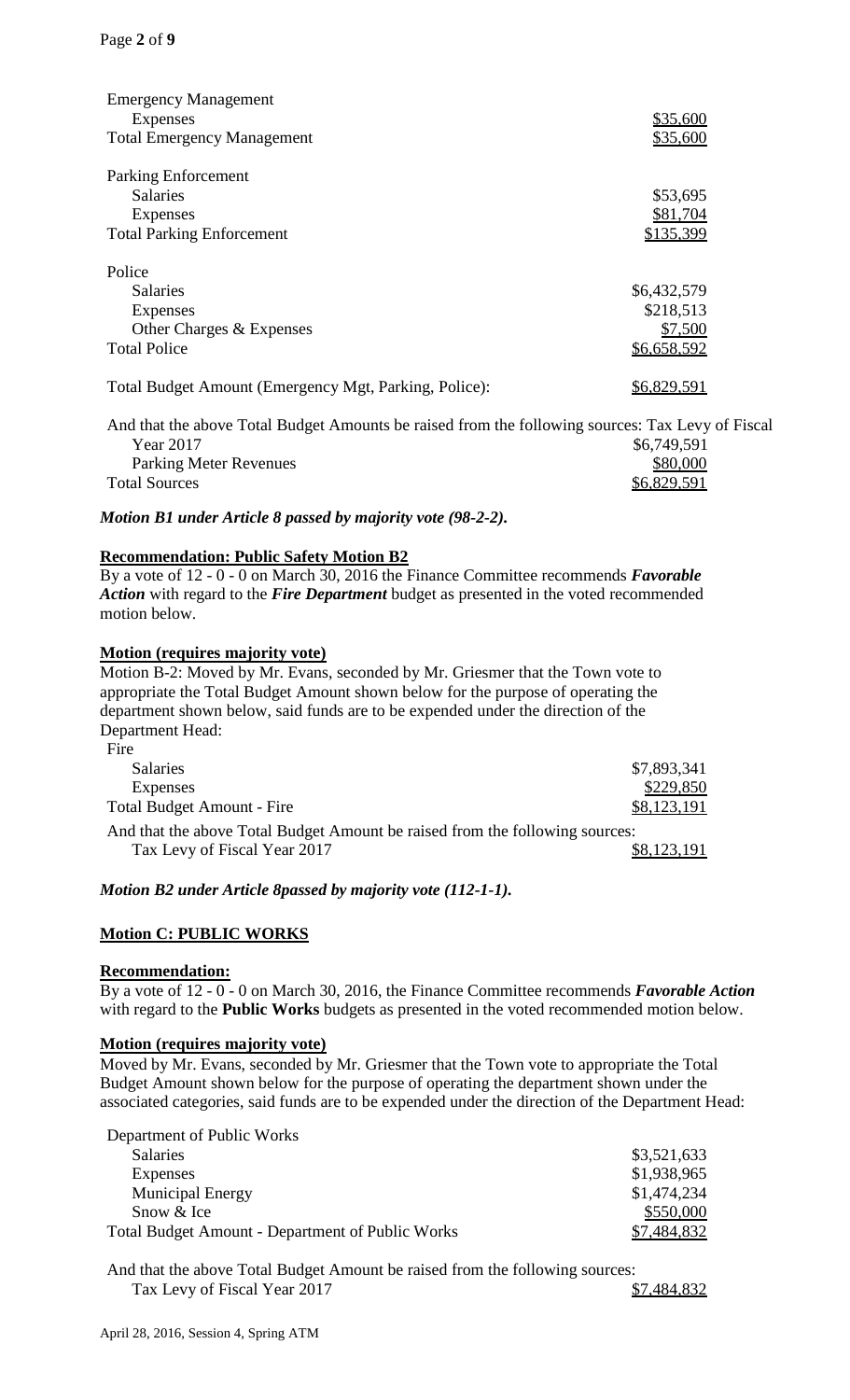| <b>Emergency Management</b><br>Expenses                                                          | \$35,600    |
|--------------------------------------------------------------------------------------------------|-------------|
| <b>Total Emergency Management</b>                                                                | \$35,600    |
| Parking Enforcement                                                                              |             |
| <b>Salaries</b>                                                                                  | \$53,695    |
| Expenses                                                                                         | \$81,704    |
| <b>Total Parking Enforcement</b>                                                                 | \$135,399   |
| Police                                                                                           |             |
| <b>Salaries</b>                                                                                  | \$6,432,579 |
| Expenses                                                                                         | \$218,513   |
| Other Charges & Expenses                                                                         | \$7,500     |
| <b>Total Police</b>                                                                              | \$6,658,592 |
| Total Budget Amount (Emergency Mgt, Parking, Police):                                            | \$6,829,591 |
| And that the above Total Budget Amounts be raised from the following sources: Tax Levy of Fiscal |             |

Year 2017<br>Parking Meter Revenues 66,749,591<br>S80,000 Parking Meter Revenues Total Sources \$6,829,591

*Motion B1 under Article 8 passed by majority vote (98-2-2).*

## **Recommendation: Public Safety Motion B2**

By a vote of 12 - 0 - 0 on March 30, 2016 the Finance Committee recommends *Favorable Action* with regard to the *Fire Department* budget as presented in the voted recommended motion below.

### **Motion (requires majority vote)**

Motion B-2: Moved by Mr. Evans, seconded by Mr. Griesmer that the Town vote to appropriate the Total Budget Amount shown below for the purpose of operating the department shown below, said funds are to be expended under the direction of the Department Head:

| Fire                                                                         |             |
|------------------------------------------------------------------------------|-------------|
| <b>Salaries</b>                                                              | \$7,893,341 |
| <b>Expenses</b>                                                              | \$229,850   |
| <b>Total Budget Amount - Fire</b>                                            | \$8,123,191 |
| And that the above Total Budget Amount be raised from the following sources: |             |
| Tax Levy of Fiscal Year 2017                                                 | \$8,123,191 |
|                                                                              |             |

*Motion B2 under Article 8passed by majority vote (112-1-1).*

### **Motion C: PUBLIC WORKS**

### **Recommendation:**

By a vote of 12 - 0 - 0 on March 30, 2016, the Finance Committee recommends *Favorable Action*  with regard to the **Public Works** budgets as presented in the voted recommended motion below.

### **Motion (requires majority vote)**

Moved by Mr. Evans, seconded by Mr. Griesmer that the Town vote to appropriate the Total Budget Amount shown below for the purpose of operating the department shown under the associated categories, said funds are to be expended under the direction of the Department Head:

| Department of Public Works                              |             |
|---------------------------------------------------------|-------------|
| <b>Salaries</b>                                         | \$3,521,633 |
| Expenses                                                | \$1,938,965 |
| <b>Municipal Energy</b>                                 | \$1,474,234 |
| Snow & Ice                                              | \$550,000   |
| <b>Total Budget Amount - Department of Public Works</b> | \$7,484,832 |

And that the above Total Budget Amount be raised from the following sources: Tax Levy of Fiscal Year 2017 **\$7,484,832**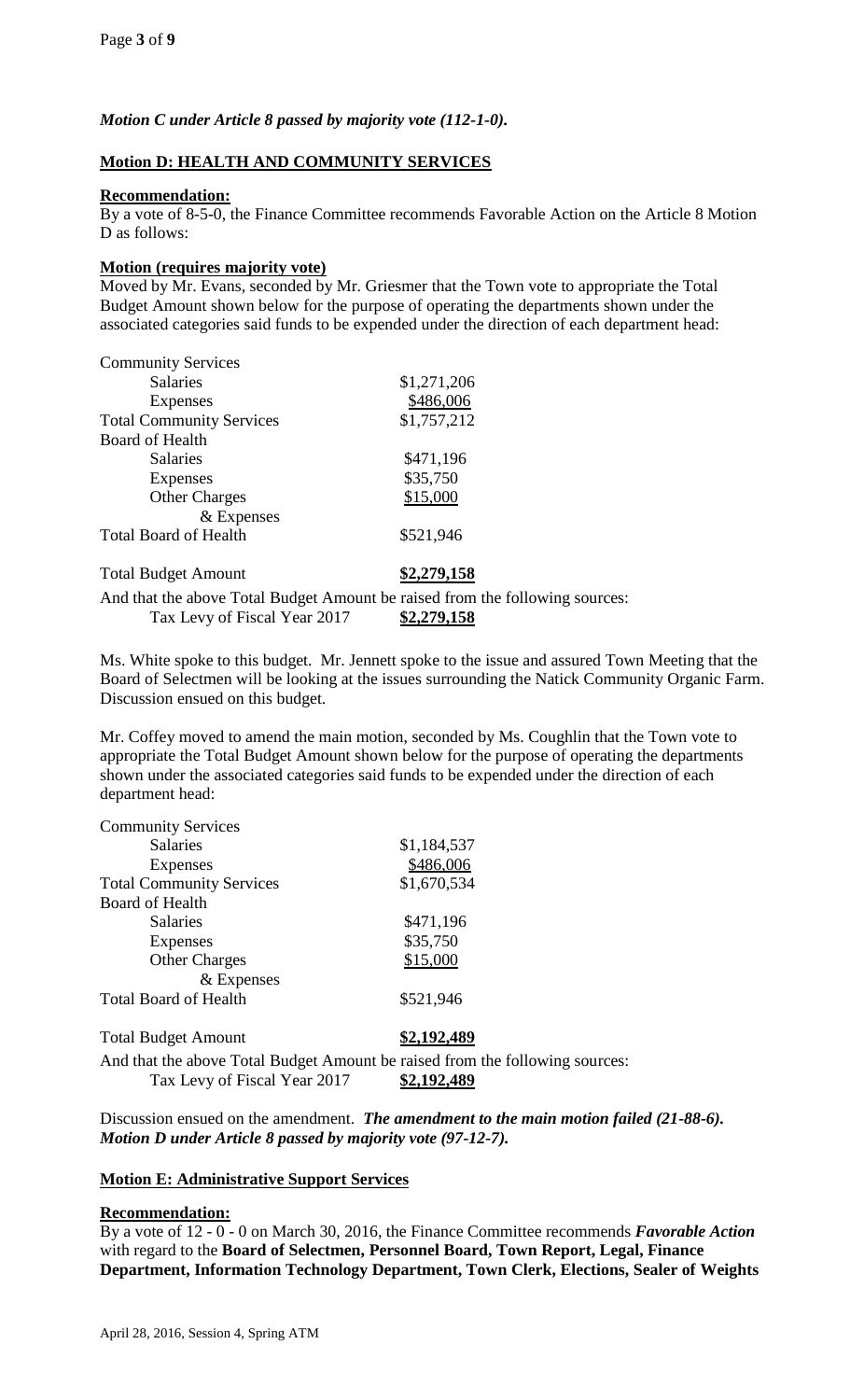# *Motion C under Article 8 passed by majority vote (112-1-0).*

## **Motion D: HEALTH AND COMMUNITY SERVICES**

### **Recommendation:**

By a vote of 8-5-0, the Finance Committee recommends Favorable Action on the Article 8 Motion D as follows:

### **Motion (requires majority vote)**

Moved by Mr. Evans, seconded by Mr. Griesmer that the Town vote to appropriate the Total Budget Amount shown below for the purpose of operating the departments shown under the associated categories said funds to be expended under the direction of each department head:

| <b>Community Services</b>                                                    |             |
|------------------------------------------------------------------------------|-------------|
| <b>Salaries</b>                                                              | \$1,271,206 |
| Expenses                                                                     | \$486,006   |
| <b>Total Community Services</b>                                              | \$1,757,212 |
| <b>Board of Health</b>                                                       |             |
| <b>Salaries</b>                                                              | \$471,196   |
| <b>Expenses</b>                                                              | \$35,750    |
| <b>Other Charges</b>                                                         | \$15,000    |
| & Expenses                                                                   |             |
| <b>Total Board of Health</b>                                                 | \$521,946   |
| <b>Total Budget Amount</b>                                                   | \$2,279,158 |
| And that the above Total Budget Amount be raised from the following sources: |             |

Tax Levy of Fiscal Year 2017 **\$2,279,158**

Ms. White spoke to this budget. Mr. Jennett spoke to the issue and assured Town Meeting that the Board of Selectmen will be looking at the issues surrounding the Natick Community Organic Farm. Discussion ensued on this budget.

Mr. Coffey moved to amend the main motion, seconded by Ms. Coughlin that the Town vote to appropriate the Total Budget Amount shown below for the purpose of operating the departments shown under the associated categories said funds to be expended under the direction of each department head:

| <b>Community Services</b>       |                                                                              |
|---------------------------------|------------------------------------------------------------------------------|
| <b>Salaries</b>                 | \$1,184,537                                                                  |
| Expenses                        | \$486,006                                                                    |
| <b>Total Community Services</b> | \$1,670,534                                                                  |
| Board of Health                 |                                                                              |
| <b>Salaries</b>                 | \$471,196                                                                    |
| Expenses                        | \$35,750                                                                     |
| <b>Other Charges</b>            | \$15,000                                                                     |
| $&$ Expenses                    |                                                                              |
| <b>Total Board of Health</b>    | \$521,946                                                                    |
| <b>Total Budget Amount</b>      | \$2,192,489                                                                  |
|                                 | And that the above Total Budget Amount be raised from the following sources: |
| Tax Levy of Fiscal Year 2017    | \$2,192,489                                                                  |

Discussion ensued on the amendment. *The amendment to the main motion failed (21-88-6). Motion D under Article 8 passed by majority vote (97-12-7).*

### **Motion E: Administrative Support Services**

### **Recommendation:**

By a vote of 12 - 0 - 0 on March 30, 2016, the Finance Committee recommends *Favorable Action*  with regard to the **Board of Selectmen, Personnel Board, Town Report, Legal, Finance Department, Information Technology Department, Town Clerk, Elections, Sealer of Weights**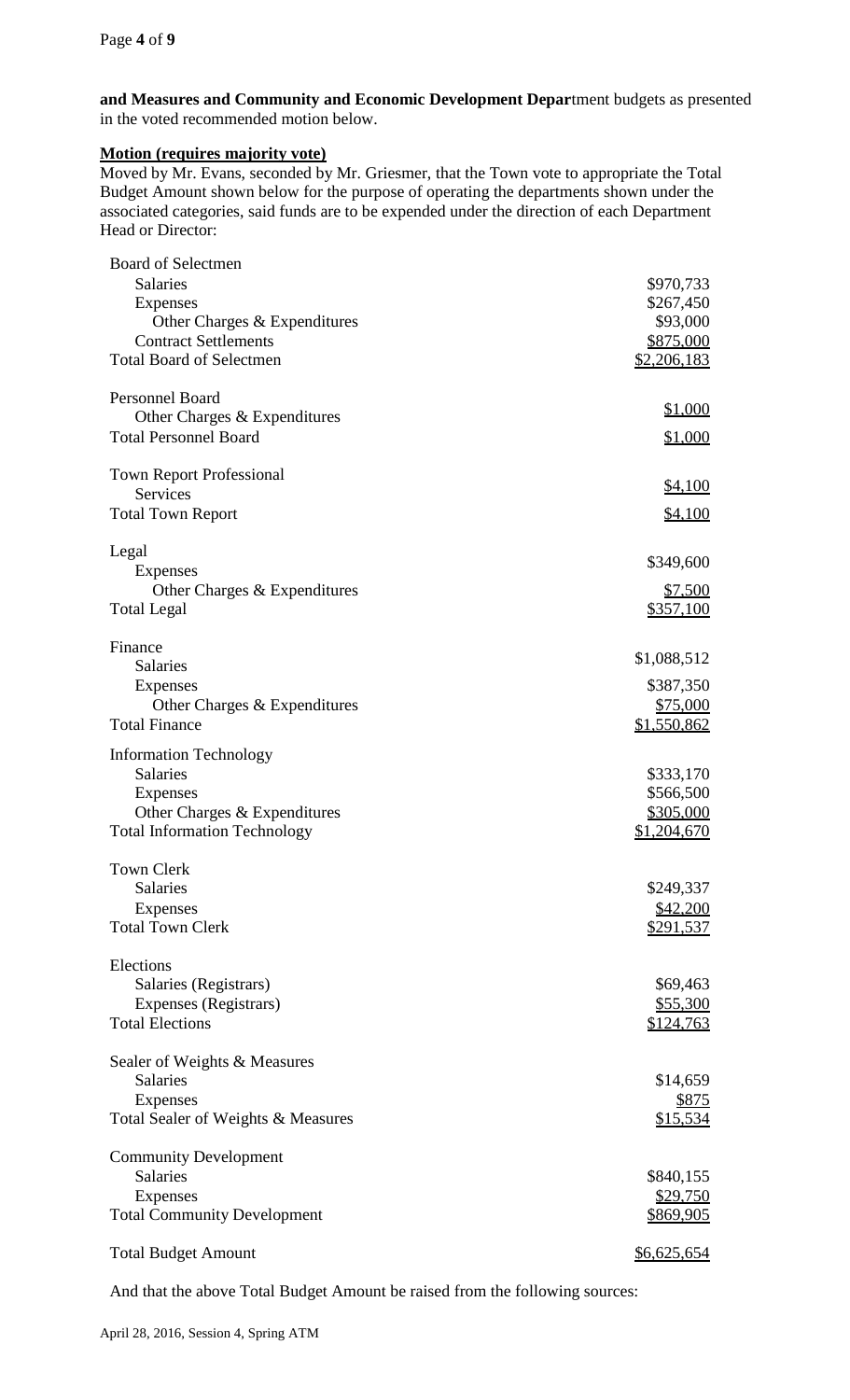**and Measures and Community and Economic Development Depar**tment budgets as presented in the voted recommended motion below.

## **Motion (requires majority vote)**

Moved by Mr. Evans, seconded by Mr. Griesmer, that the Town vote to appropriate the Total Budget Amount shown below for the purpose of operating the departments shown under the associated categories, said funds are to be expended under the direction of each Department Head or Director:

| <b>Board of Selectmen</b>           |                  |
|-------------------------------------|------------------|
| <b>Salaries</b>                     | \$970,733        |
| <b>Expenses</b>                     | \$267,450        |
| Other Charges & Expenditures        | \$93,000         |
| <b>Contract Settlements</b>         | \$875,000        |
| <b>Total Board of Selectmen</b>     | \$2,206,183      |
|                                     |                  |
| Personnel Board                     | \$1,000          |
| Other Charges & Expenditures        |                  |
| <b>Total Personnel Board</b>        | <u>\$1,000</u>   |
| <b>Town Report Professional</b>     |                  |
| Services                            | <u>\$4,100</u>   |
| <b>Total Town Report</b>            | \$4,100          |
|                                     |                  |
| Legal                               |                  |
| Expenses                            | \$349,600        |
| Other Charges & Expenditures        | \$7,500          |
| <b>Total Legal</b>                  | <u>\$357,100</u> |
| Finance                             |                  |
|                                     | \$1,088,512      |
| <b>Salaries</b>                     |                  |
| Expenses                            | \$387,350        |
| Other Charges & Expenditures        | \$75,000         |
| <b>Total Finance</b>                | \$1,550,862      |
| <b>Information Technology</b>       |                  |
| <b>Salaries</b>                     | \$333,170        |
| Expenses                            | \$566,500        |
| Other Charges & Expenditures        | <u>\$305,000</u> |
| <b>Total Information Technology</b> | \$1,204,670      |
| <b>Town Clerk</b>                   |                  |
| <b>Salaries</b>                     |                  |
|                                     | \$249,337        |
| Expenses                            | \$42,200         |
| <b>Total Town Clerk</b>             | \$291,537        |
| Elections                           |                  |
| Salaries (Registrars)               | \$69,463         |
| Expenses (Registrars)               | \$55,300         |
| <b>Total Elections</b>              | <u>\$124,763</u> |
|                                     |                  |
| Sealer of Weights & Measures        |                  |
| <b>Salaries</b>                     | \$14,659         |
| Expenses                            | <u>\$875</u>     |
| Total Sealer of Weights & Measures  | \$15,534         |
| <b>Community Development</b>        |                  |
| <b>Salaries</b>                     | \$840,155        |
| <b>Expenses</b>                     | <u>\$29,750</u>  |
| <b>Total Community Development</b>  | <u>\$869,905</u> |
|                                     |                  |
| <b>Total Budget Amount</b>          | \$6,625,654      |
|                                     |                  |

And that the above Total Budget Amount be raised from the following sources: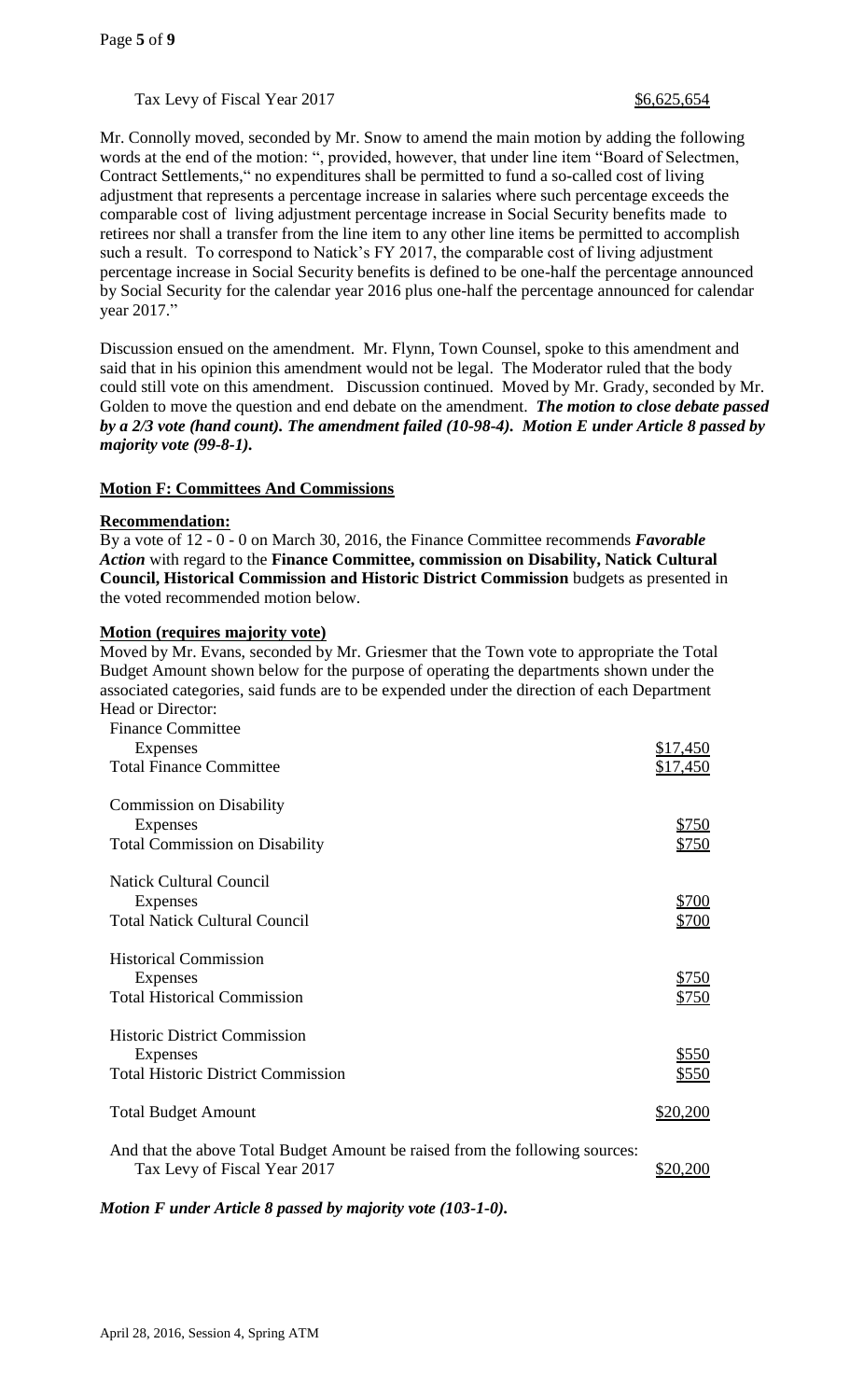# Tax Levy of Fiscal Year 2017 **\$6,625,654**

Mr. Connolly moved, seconded by Mr. Snow to amend the main motion by adding the following words at the end of the motion: ", provided, however, that under line item "Board of Selectmen, Contract Settlements," no expenditures shall be permitted to fund a so-called cost of living adjustment that represents a percentage increase in salaries where such percentage exceeds the comparable cost of living adjustment percentage increase in Social Security benefits made to retirees nor shall a transfer from the line item to any other line items be permitted to accomplish such a result. To correspond to Natick's FY 2017, the comparable cost of living adjustment percentage increase in Social Security benefits is defined to be one-half the percentage announced by Social Security for the calendar year 2016 plus one-half the percentage announced for calendar year 2017."

Discussion ensued on the amendment. Mr. Flynn, Town Counsel, spoke to this amendment and said that in his opinion this amendment would not be legal. The Moderator ruled that the body could still vote on this amendment. Discussion continued. Moved by Mr. Grady, seconded by Mr. Golden to move the question and end debate on the amendment. *The motion to close debate passed by a 2/3 vote (hand count). The amendment failed (10-98-4).**Motion E under Article 8 passed by majority vote (99-8-1).*

# **Motion F: Committees And Commissions**

### **Recommendation:**

By a vote of 12 - 0 - 0 on March 30, 2016, the Finance Committee recommends *Favorable Action* with regard to the **Finance Committee, commission on Disability, Natick Cultural Council, Historical Commission and Historic District Commission** budgets as presented in the voted recommended motion below.

## **Motion (requires majority vote)**

Moved by Mr. Evans, seconded by Mr. Griesmer that the Town vote to appropriate the Total Budget Amount shown below for the purpose of operating the departments shown under the associated categories, said funds are to be expended under the direction of each Department Head or Director:

| <b>Finance Committee</b>                                                                                     |          |
|--------------------------------------------------------------------------------------------------------------|----------|
| Expenses                                                                                                     | \$17,450 |
| <b>Total Finance Committee</b>                                                                               | \$17,450 |
| <b>Commission on Disability</b>                                                                              |          |
| Expenses                                                                                                     | \$750    |
| <b>Total Commission on Disability</b>                                                                        | \$750    |
| <b>Natick Cultural Council</b>                                                                               |          |
| Expenses                                                                                                     | \$700    |
| <b>Total Natick Cultural Council</b>                                                                         | \$700    |
| <b>Historical Commission</b>                                                                                 |          |
| Expenses                                                                                                     | \$750    |
| <b>Total Historical Commission</b>                                                                           | \$750    |
| <b>Historic District Commission</b>                                                                          |          |
| Expenses                                                                                                     | \$550    |
| <b>Total Historic District Commission</b>                                                                    | \$550    |
| <b>Total Budget Amount</b>                                                                                   | \$20,200 |
| And that the above Total Budget Amount be raised from the following sources:<br>Tax Levy of Fiscal Year 2017 | \$20,200 |
|                                                                                                              |          |

*Motion F under Article 8 passed by majority vote (103-1-0).*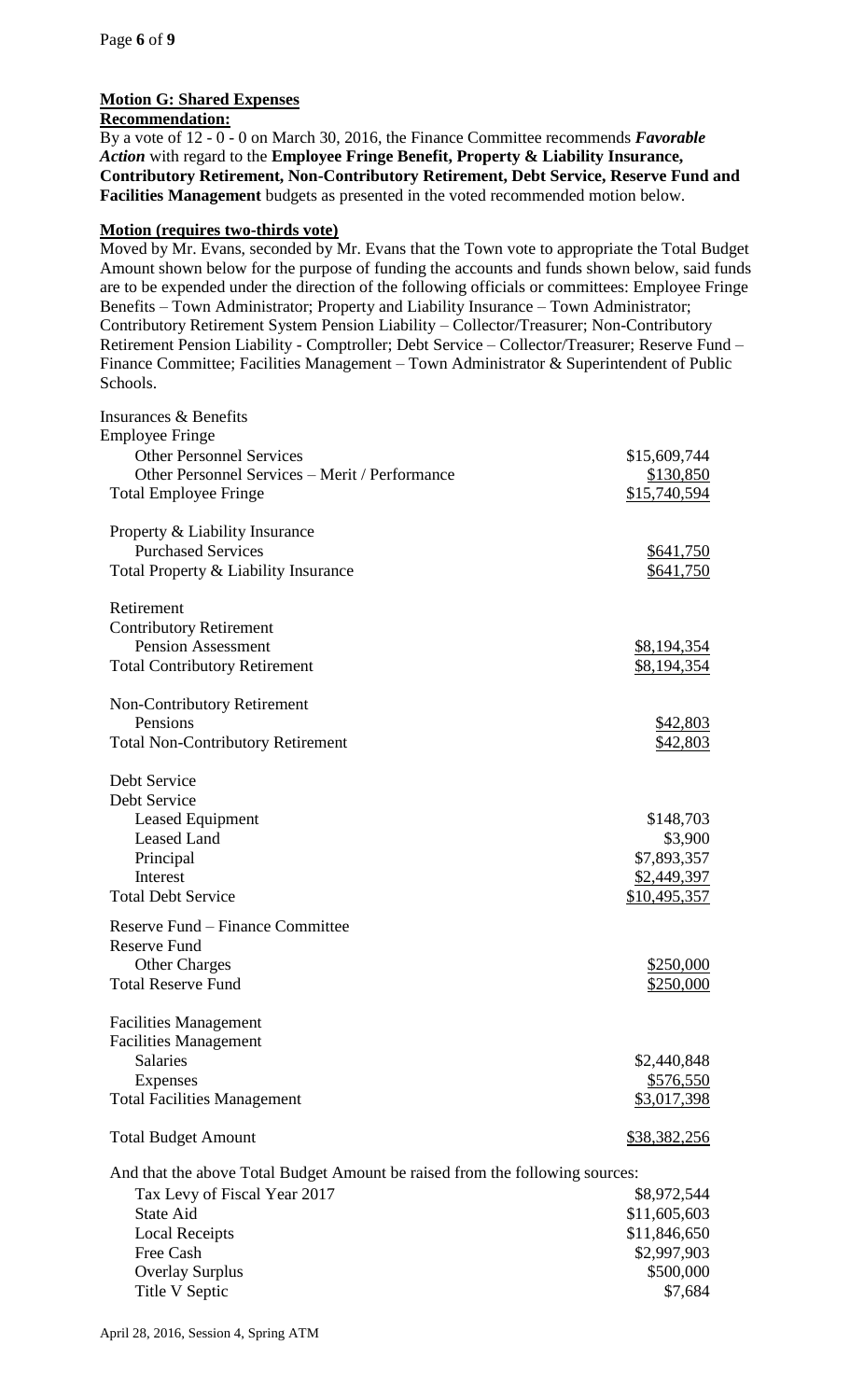# **Motion G: Shared Expenses**

## **Recommendation:**

By a vote of 12 - 0 - 0 on March 30, 2016, the Finance Committee recommends *Favorable Action* with regard to the **Employee Fringe Benefit, Property & Liability Insurance, Contributory Retirement, Non-Contributory Retirement, Debt Service, Reserve Fund and Facilities Management** budgets as presented in the voted recommended motion below.

### **Motion (requires two-thirds vote)**

Moved by Mr. Evans, seconded by Mr. Evans that the Town vote to appropriate the Total Budget Amount shown below for the purpose of funding the accounts and funds shown below, said funds are to be expended under the direction of the following officials or committees: Employee Fringe Benefits – Town Administrator; Property and Liability Insurance – Town Administrator; Contributory Retirement System Pension Liability – Collector/Treasurer; Non-Contributory Retirement Pension Liability - Comptroller; Debt Service – Collector/Treasurer; Reserve Fund – Finance Committee; Facilities Management – Town Administrator & Superintendent of Public Schools.

| <b>Insurances &amp; Benefits</b>                                             |                           |
|------------------------------------------------------------------------------|---------------------------|
| <b>Employee Fringe</b><br><b>Other Personnel Services</b>                    |                           |
| Other Personnel Services - Merit / Performance                               | \$15,609,744              |
| <b>Total Employee Fringe</b>                                                 | \$130,850<br>\$15,740,594 |
|                                                                              |                           |
| Property & Liability Insurance                                               |                           |
| <b>Purchased Services</b>                                                    | \$641,750                 |
| Total Property & Liability Insurance                                         | <u>\$641,750</u>          |
| Retirement                                                                   |                           |
| <b>Contributory Retirement</b>                                               |                           |
| <b>Pension Assessment</b>                                                    | \$8,194,354               |
| <b>Total Contributory Retirement</b>                                         | <u>\$8,194,354</u>        |
| <b>Non-Contributory Retirement</b>                                           |                           |
| Pensions                                                                     | \$42,803                  |
| <b>Total Non-Contributory Retirement</b>                                     | \$42,803                  |
|                                                                              |                           |
| Debt Service                                                                 |                           |
| Debt Service                                                                 |                           |
| Leased Equipment                                                             | \$148,703                 |
| <b>Leased Land</b>                                                           | \$3,900                   |
| Principal                                                                    | \$7,893,357               |
| Interest                                                                     | \$2,449,397               |
| <b>Total Debt Service</b>                                                    | <u>\$10,495,357</u>       |
| Reserve Fund – Finance Committee                                             |                           |
| <b>Reserve Fund</b>                                                          |                           |
| <b>Other Charges</b>                                                         | \$250,000                 |
| <b>Total Reserve Fund</b>                                                    |                           |
|                                                                              | \$250,000                 |
| <b>Facilities Management</b>                                                 |                           |
| <b>Facilities Management</b>                                                 |                           |
| <b>Salaries</b>                                                              | \$2,440,848               |
| <b>Expenses</b>                                                              | \$576,550                 |
| <b>Total Facilities Management</b>                                           | \$3,017,398               |
| <b>Total Budget Amount</b>                                                   | \$38,382,256              |
| And that the above Total Budget Amount be raised from the following sources: |                           |
| Tax Levy of Fiscal Year 2017                                                 | \$8,972,544               |
| <b>State Aid</b>                                                             | \$11,605,603              |
| <b>Local Receipts</b>                                                        | \$11,846,650              |
| Free Cash                                                                    | \$2,997,903               |
| <b>Overlay Surplus</b>                                                       | \$500,000                 |
| Title V Septic                                                               | \$7,684                   |
|                                                                              |                           |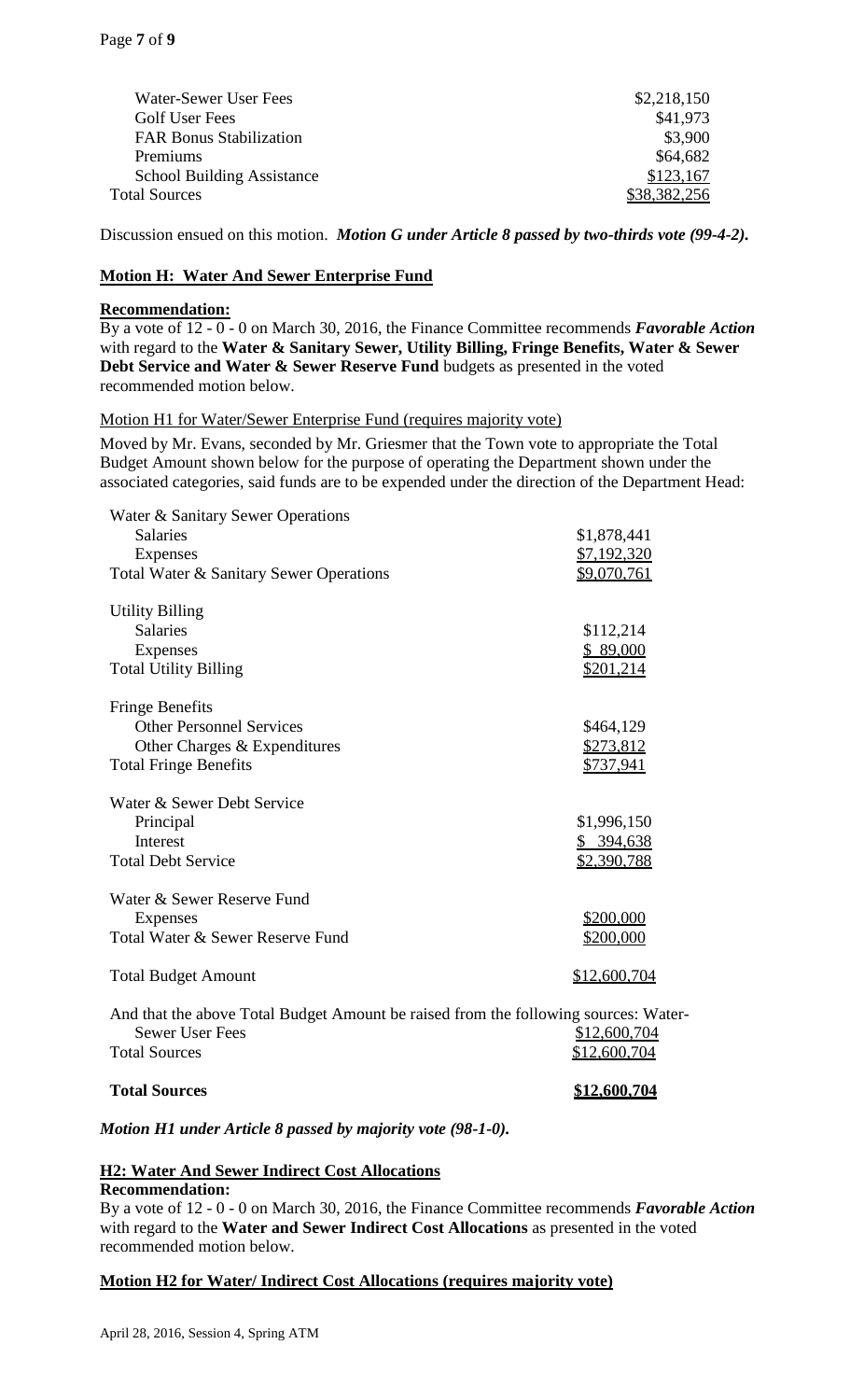| Water-Sewer User Fees             | \$2,218,150 |
|-----------------------------------|-------------|
| Golf User Fees                    | \$41,973    |
| <b>FAR Bonus Stabilization</b>    | \$3,900     |
| Premiums                          | \$64,682    |
| <b>School Building Assistance</b> | \$123,167   |
| <b>Total Sources</b>              | 8.382.256   |
|                                   |             |

Discussion ensued on this motion. *Motion G under Article 8 passed by two-thirds vote (99-4-2).*

## **Motion H: Water And Sewer Enterprise Fund**

### **Recommendation:**

By a vote of 12 - 0 - 0 on March 30, 2016, the Finance Committee recommends *Favorable Action*  with regard to the **Water & Sanitary Sewer, Utility Billing, Fringe Benefits, Water & Sewer Debt Service and Water & Sewer Reserve Fund** budgets as presented in the voted recommended motion below.

### Motion H1 for Water/Sewer Enterprise Fund (requires majority vote)

Moved by Mr. Evans, seconded by Mr. Griesmer that the Town vote to appropriate the Total Budget Amount shown below for the purpose of operating the Department shown under the associated categories, said funds are to be expended under the direction of the Department Head:

| Water & Sanitary Sewer Operations<br><b>Salaries</b><br>Expenses<br>Total Water & Sanitary Sewer Operations                           | \$1,878,441<br>\$7,192,320<br>\$9,070,761 |
|---------------------------------------------------------------------------------------------------------------------------------------|-------------------------------------------|
| <b>Utility Billing</b><br><b>Salaries</b><br>Expenses<br><b>Total Utility Billing</b>                                                 | \$112,214<br>\$89,000<br>\$201,214        |
| <b>Fringe Benefits</b><br><b>Other Personnel Services</b><br>Other Charges & Expenditures<br><b>Total Fringe Benefits</b>             | \$464,129<br>\$273,812<br>\$737,941       |
| Water & Sewer Debt Service<br>Principal<br>Interest<br><b>Total Debt Service</b>                                                      | \$1,996,150<br>\$394,638<br>\$2,390,788   |
| Water & Sewer Reserve Fund<br><b>Expenses</b><br>Total Water & Sewer Reserve Fund                                                     | \$200,000<br>\$200,000                    |
| <b>Total Budget Amount</b>                                                                                                            | \$12,600,704                              |
| And that the above Total Budget Amount be raised from the following sources: Water-<br><b>Sewer User Fees</b><br><b>Total Sources</b> | \$12,600,704<br><u>\$12,600,704</u>       |

### **Total Sources \$12,600,704**

*Motion H1 under Article 8 passed by majority vote (98-1-0).*

### **H2: Water And Sewer Indirect Cost Allocations**

### **Recommendation:**

By a vote of 12 - 0 - 0 on March 30, 2016, the Finance Committee recommends *Favorable Action*  with regard to the **Water and Sewer Indirect Cost Allocations** as presented in the voted recommended motion below.

### **Motion H2 for Water/ Indirect Cost Allocations (requires majority vote)**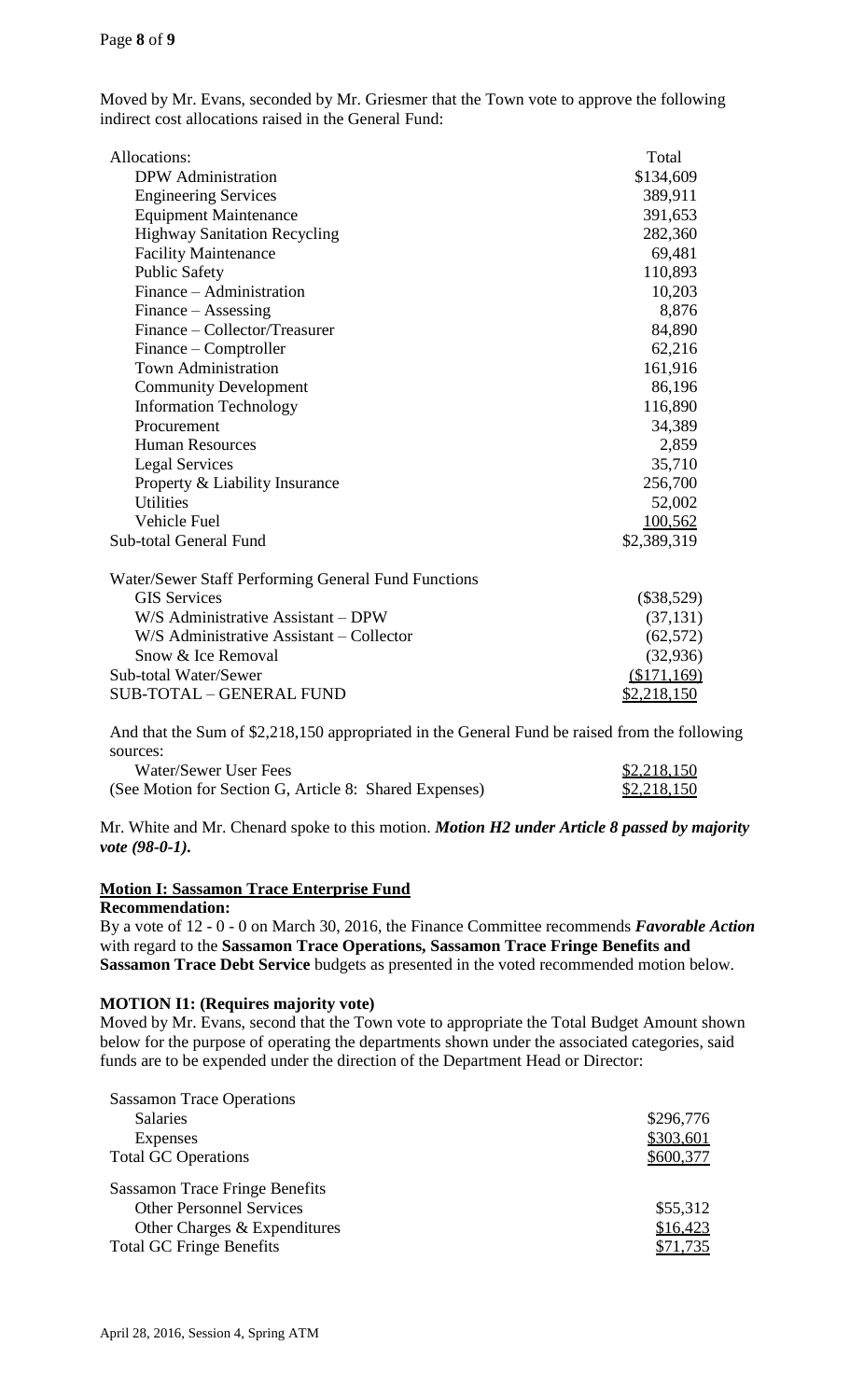Moved by Mr. Evans, seconded by Mr. Griesmer that the Town vote to approve the following indirect cost allocations raised in the General Fund:

| Allocations:                                        | Total        |
|-----------------------------------------------------|--------------|
| <b>DPW</b> Administration                           | \$134,609    |
| <b>Engineering Services</b>                         | 389,911      |
| <b>Equipment Maintenance</b>                        | 391,653      |
| <b>Highway Sanitation Recycling</b>                 | 282,360      |
| <b>Facility Maintenance</b>                         | 69,481       |
| <b>Public Safety</b>                                | 110,893      |
| Finance – Administration                            | 10,203       |
| Finance – Assessing                                 | 8,876        |
| Finance – Collector/Treasurer                       | 84,890       |
| Finance – Comptroller                               | 62,216       |
| <b>Town Administration</b>                          | 161,916      |
| <b>Community Development</b>                        | 86,196       |
| <b>Information Technology</b>                       | 116,890      |
| Procurement                                         | 34,389       |
| <b>Human Resources</b>                              | 2,859        |
| <b>Legal Services</b>                               | 35,710       |
| Property & Liability Insurance                      | 256,700      |
| <b>Utilities</b>                                    | 52,002       |
| Vehicle Fuel                                        | 100,562      |
| <b>Sub-total General Fund</b>                       | \$2,389,319  |
| Water/Sewer Staff Performing General Fund Functions |              |
| <b>GIS Services</b>                                 | $(\$38,529)$ |
| W/S Administrative Assistant - DPW                  | (37, 131)    |
|                                                     |              |

| (37, 131)   |
|-------------|
| (62, 572)   |
| (32,936)    |
| (\$171,169) |
| \$2,218,150 |
|             |

And that the Sum of \$2,218,150 appropriated in the General Fund be raised from the following sources:

| Water/Sewer User Fees                                  | \$2,218,150 |
|--------------------------------------------------------|-------------|
| (See Motion for Section G, Article 8: Shared Expenses) | \$2,218,150 |

Mr. White and Mr. Chenard spoke to this motion. *Motion H2 under Article 8 passed by majority vote (98-0-1).*

# **Motion I: Sassamon Trace Enterprise Fund**

### **Recommendation:**

By a vote of 12 - 0 - 0 on March 30, 2016, the Finance Committee recommends *Favorable Action*  with regard to the **Sassamon Trace Operations, Sassamon Trace Fringe Benefits and Sassamon Trace Debt Service** budgets as presented in the voted recommended motion below.

### **MOTION I1: (Requires majority vote)**

Moved by Mr. Evans, second that the Town vote to appropriate the Total Budget Amount shown below for the purpose of operating the departments shown under the associated categories, said funds are to be expended under the direction of the Department Head or Director:

| <b>Sassamon Trace Operations</b>      |           |
|---------------------------------------|-----------|
| <b>Salaries</b>                       | \$296,776 |
| Expenses                              | \$303,601 |
| <b>Total GC Operations</b>            | \$600,377 |
| <b>Sassamon Trace Fringe Benefits</b> |           |
| <b>Other Personnel Services</b>       | \$55,312  |
| Other Charges & Expenditures          | \$16,423  |
| <b>Total GC Fringe Benefits</b>       | \$71,735  |